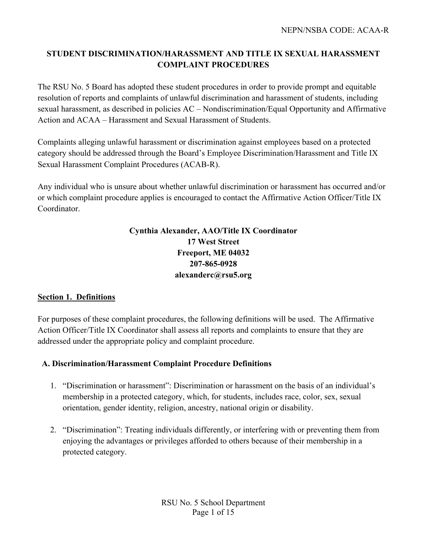# **STUDENT DISCRIMINATION/HARASSMENT AND TITLE IX SEXUAL HARASSMENT COMPLAINT PROCEDURES**

The RSU No. 5 Board has adopted these student procedures in order to provide prompt and equitable resolution of reports and complaints of unlawful discrimination and harassment of students, including sexual harassment, as described in policies AC – Nondiscrimination/Equal Opportunity and Affirmative Action and ACAA – Harassment and Sexual Harassment of Students.

Complaints alleging unlawful harassment or discrimination against employees based on a protected category should be addressed through the Board's Employee Discrimination/Harassment and Title IX Sexual Harassment Complaint Procedures (ACAB-R).

Any individual who is unsure about whether unlawful discrimination or harassment has occurred and/or or which complaint procedure applies is encouraged to contact the Affirmative Action Officer/Title IX Coordinator.

# **Cynthia Alexander, AAO/Title IX Coordinator 17 West Street Freeport, ME 04032 207-865-0928 alexanderc@rsu5.org**

#### **Section 1. Definitions**

For purposes of these complaint procedures, the following definitions will be used. The Affirmative Action Officer/Title IX Coordinator shall assess all reports and complaints to ensure that they are addressed under the appropriate policy and complaint procedure.

#### **A. Discrimination/Harassment Complaint Procedure Definitions**

- 1. "Discrimination or harassment": Discrimination or harassment on the basis of an individual's membership in a protected category, which, for students, includes race, color, sex, sexual orientation, gender identity, religion, ancestry, national origin or disability.
- 2. "Discrimination": Treating individuals differently, or interfering with or preventing them from enjoying the advantages or privileges afforded to others because of their membership in a protected category.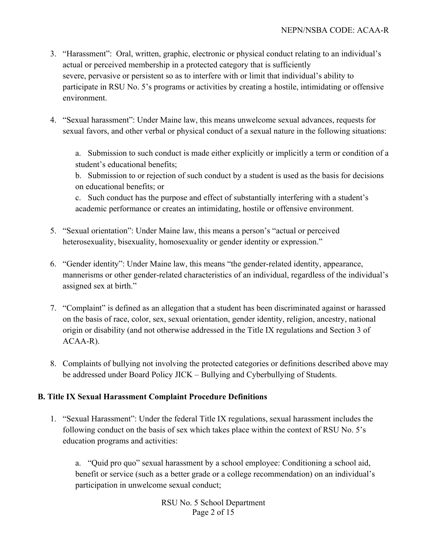- 3. "Harassment": Oral, written, graphic, electronic or physical conduct relating to an individual's actual or perceived membership in a protected category that is sufficiently severe, pervasive or persistent so as to interfere with or limit that individual's ability to participate in RSU No. 5's programs or activities by creating a hostile, intimidating or offensive environment.
- 4. "Sexual harassment": Under Maine law, this means unwelcome sexual advances, requests for sexual favors, and other verbal or physical conduct of a sexual nature in the following situations:

a. Submission to such conduct is made either explicitly or implicitly a term or condition of a student's educational benefits;

b. Submission to or rejection of such conduct by a student is used as the basis for decisions on educational benefits; or

c. Such conduct has the purpose and effect of substantially interfering with a student's academic performance or creates an intimidating, hostile or offensive environment.

- 5. "Sexual orientation": Under Maine law, this means a person's "actual or perceived heterosexuality, bisexuality, homosexuality or gender identity or expression."
- 6. "Gender identity": Under Maine law, this means "the gender-related identity, appearance, mannerisms or other gender-related characteristics of an individual, regardless of the individual's assigned sex at birth."
- 7. "Complaint" is defined as an allegation that a student has been discriminated against or harassed on the basis of race, color, sex, sexual orientation, gender identity, religion, ancestry, national origin or disability (and not otherwise addressed in the Title IX regulations and Section 3 of ACAA-R).
- 8. Complaints of bullying not involving the protected categories or definitions described above may be addressed under Board Policy JICK – Bullying and Cyberbullying of Students.

# **B. Title IX Sexual Harassment Complaint Procedure Definitions**

1. "Sexual Harassment": Under the federal Title IX regulations, sexual harassment includes the following conduct on the basis of sex which takes place within the context of RSU No. 5's education programs and activities:

a. "Quid pro quo" sexual harassment by a school employee: Conditioning a school aid, benefit or service (such as a better grade or a college recommendation) on an individual's participation in unwelcome sexual conduct;

> RSU No. 5 School Department Page 2 of 15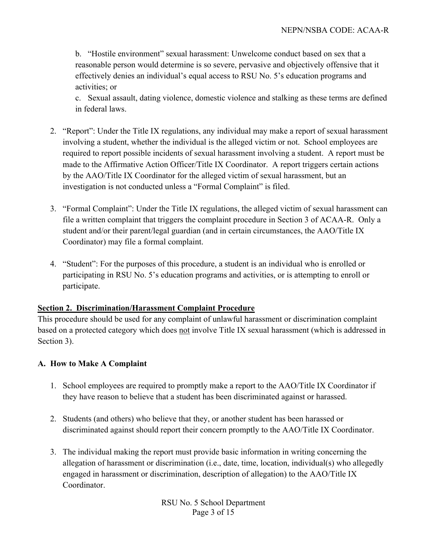b. "Hostile environment" sexual harassment: Unwelcome conduct based on sex that a reasonable person would determine is so severe, pervasive and objectively offensive that it effectively denies an individual's equal access to RSU No. 5's education programs and activities; or

c. Sexual assault, dating violence, domestic violence and stalking as these terms are defined in federal laws.

- 2. "Report": Under the Title IX regulations, any individual may make a report of sexual harassment involving a student, whether the individual is the alleged victim or not. School employees are required to report possible incidents of sexual harassment involving a student. A report must be made to the Affirmative Action Officer/Title IX Coordinator. A report triggers certain actions by the AAO/Title IX Coordinator for the alleged victim of sexual harassment, but an investigation is not conducted unless a "Formal Complaint" is filed.
- 3. "Formal Complaint": Under the Title IX regulations, the alleged victim of sexual harassment can file a written complaint that triggers the complaint procedure in Section 3 of ACAA-R. Only a student and/or their parent/legal guardian (and in certain circumstances, the AAO/Title IX Coordinator) may file a formal complaint.
- 4. "Student": For the purposes of this procedure, a student is an individual who is enrolled or participating in RSU No. 5's education programs and activities, or is attempting to enroll or participate.

#### **Section 2. Discrimination/Harassment Complaint Procedure**

This procedure should be used for any complaint of unlawful harassment or discrimination complaint based on a protected category which does not involve Title IX sexual harassment (which is addressed in Section 3).

#### **A. How to Make A Complaint**

- 1. School employees are required to promptly make a report to the AAO/Title IX Coordinator if they have reason to believe that a student has been discriminated against or harassed.
- 2. Students (and others) who believe that they, or another student has been harassed or discriminated against should report their concern promptly to the AAO/Title IX Coordinator.
- 3. The individual making the report must provide basic information in writing concerning the allegation of harassment or discrimination (i.e., date, time, location, individual(s) who allegedly engaged in harassment or discrimination, description of allegation) to the AAO/Title IX Coordinator.

RSU No. 5 School Department Page 3 of 15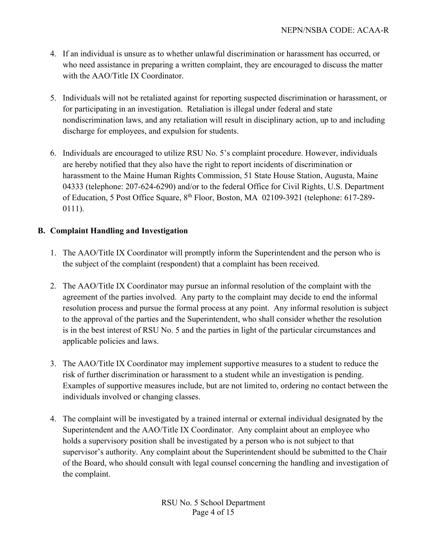- 4. If an individual is unsure as to whether unlawful discrimination or harassment has occurred, or who need assistance in preparing a written complaint, they are encouraged to discuss the matter with the AAO/Title IX Coordinator.
- 5. Individuals will not be retaliated against for reporting suspected discrimination or harassment, or for participating in an investigation. Retaliation is illegal under federal and state nondiscrimination laws, and any retaliation will result in disciplinary action, up to and including discharge for employees, and expulsion for students.
- 6. Individuals are encouraged to utilize RSU No. 5's complaint procedure. However, individuals are hereby notified that they also have the right to report incidents of discrimination or harassment to the Maine Human Rights Commission, 51 State House Station, Augusta, Maine 04333 (telephone: 207-624-6290) and/or to the federal Office for Civil Rights, U.S. Department of Education, 5 Post Office Square, 8th Floor, Boston, MA 02109-3921 (telephone: 617-289- 0111).

## **B. Complaint Handling and Investigation**

- 1. The AAO/Title IX Coordinator will promptly inform the Superintendent and the person who is the subject of the complaint (respondent) that a complaint has been received.
- 2. The AAO/Title IX Coordinator may pursue an informal resolution of the complaint with the agreement of the parties involved. Any party to the complaint may decide to end the informal resolution process and pursue the formal process at any point. Any informal resolution is subject to the approval of the parties and the Superintendent, who shall consider whether the resolution is in the best interest of RSU No. 5 and the parties in light of the particular circumstances and applicable policies and laws.
- 3. The AAO/Title IX Coordinator may implement supportive measures to a student to reduce the risk of further discrimination or harassment to a student while an investigation is pending. Examples of supportive measures include, but are not limited to, ordering no contact between the individuals involved or changing classes.
- 4. The complaint will be investigated by a trained internal or external individual designated by the Superintendent and the AAO/Title IX Coordinator. Any complaint about an employee who holds a supervisory position shall be investigated by a person who is not subject to that supervisor's authority. Any complaint about the Superintendent should be submitted to the Chair of the Board, who should consult with legal counsel concerning the handling and investigation of the complaint.

RSU No. 5 School Department Page 4 of 15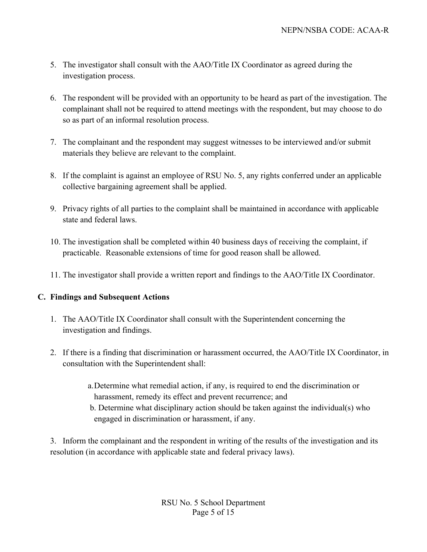- 5. The investigator shall consult with the AAO/Title IX Coordinator as agreed during the investigation process.
- 6. The respondent will be provided with an opportunity to be heard as part of the investigation. The complainant shall not be required to attend meetings with the respondent, but may choose to do so as part of an informal resolution process.
- 7. The complainant and the respondent may suggest witnesses to be interviewed and/or submit materials they believe are relevant to the complaint.
- 8. If the complaint is against an employee of RSU No. 5, any rights conferred under an applicable collective bargaining agreement shall be applied.
- 9. Privacy rights of all parties to the complaint shall be maintained in accordance with applicable state and federal laws.
- 10. The investigation shall be completed within 40 business days of receiving the complaint, if practicable. Reasonable extensions of time for good reason shall be allowed.
- 11. The investigator shall provide a written report and findings to the AAO/Title IX Coordinator.

# **C. Findings and Subsequent Actions**

- 1. The AAO/Title IX Coordinator shall consult with the Superintendent concerning the investigation and findings.
- 2. If there is a finding that discrimination or harassment occurred, the AAO/Title IX Coordinator, in consultation with the Superintendent shall:
	- a.Determine what remedial action, if any, is required to end the discrimination or harassment, remedy its effect and prevent recurrence; and
	- b. Determine what disciplinary action should be taken against the individual(s) who engaged in discrimination or harassment, if any.

3. Inform the complainant and the respondent in writing of the results of the investigation and its resolution (in accordance with applicable state and federal privacy laws).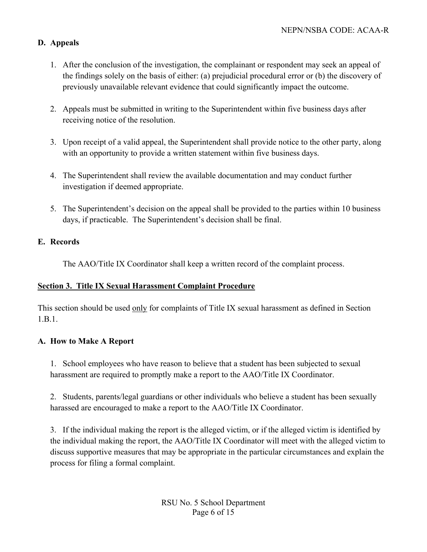## **D. Appeals**

- 1. After the conclusion of the investigation, the complainant or respondent may seek an appeal of the findings solely on the basis of either: (a) prejudicial procedural error or (b) the discovery of previously unavailable relevant evidence that could significantly impact the outcome.
- 2. Appeals must be submitted in writing to the Superintendent within five business days after receiving notice of the resolution.
- 3. Upon receipt of a valid appeal, the Superintendent shall provide notice to the other party, along with an opportunity to provide a written statement within five business days.
- 4. The Superintendent shall review the available documentation and may conduct further investigation if deemed appropriate.
- 5. The Superintendent's decision on the appeal shall be provided to the parties within 10 business days, if practicable. The Superintendent's decision shall be final.

#### **E. Records**

The AAO/Title IX Coordinator shall keep a written record of the complaint process.

#### **Section 3. Title IX Sexual Harassment Complaint Procedure**

This section should be used only for complaints of Title IX sexual harassment as defined in Section 1.B.1.

#### **A. How to Make A Report**

1. School employees who have reason to believe that a student has been subjected to sexual harassment are required to promptly make a report to the AAO/Title IX Coordinator.

2. Students, parents/legal guardians or other individuals who believe a student has been sexually harassed are encouraged to make a report to the AAO/Title IX Coordinator.

3. If the individual making the report is the alleged victim, or if the alleged victim is identified by the individual making the report, the AAO/Title IX Coordinator will meet with the alleged victim to discuss supportive measures that may be appropriate in the particular circumstances and explain the process for filing a formal complaint.

> RSU No. 5 School Department Page 6 of 15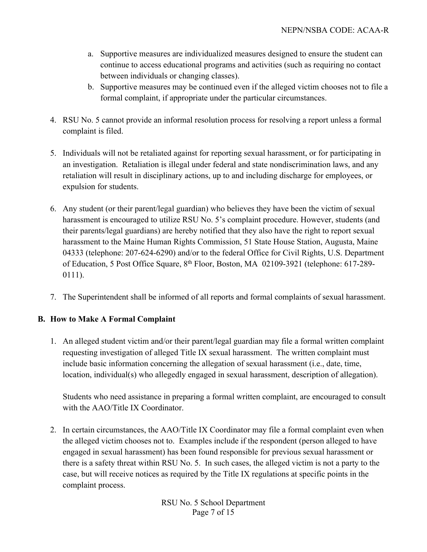- a. Supportive measures are individualized measures designed to ensure the student can continue to access educational programs and activities (such as requiring no contact between individuals or changing classes).
- b. Supportive measures may be continued even if the alleged victim chooses not to file a formal complaint, if appropriate under the particular circumstances.
- 4. RSU No. 5 cannot provide an informal resolution process for resolving a report unless a formal complaint is filed.
- 5. Individuals will not be retaliated against for reporting sexual harassment, or for participating in an investigation. Retaliation is illegal under federal and state nondiscrimination laws, and any retaliation will result in disciplinary actions, up to and including discharge for employees, or expulsion for students.
- 6. Any student (or their parent/legal guardian) who believes they have been the victim of sexual harassment is encouraged to utilize RSU No. 5's complaint procedure. However, students (and their parents/legal guardians) are hereby notified that they also have the right to report sexual harassment to the Maine Human Rights Commission, 51 State House Station, Augusta, Maine 04333 (telephone: 207-624-6290) and/or to the federal Office for Civil Rights, U.S. Department of Education, 5 Post Office Square, 8<sup>th</sup> Floor, Boston, MA 02109-3921 (telephone: 617-289-0111).
- 7. The Superintendent shall be informed of all reports and formal complaints of sexual harassment.

#### **B. How to Make A Formal Complaint**

1. An alleged student victim and/or their parent/legal guardian may file a formal written complaint requesting investigation of alleged Title IX sexual harassment. The written complaint must include basic information concerning the allegation of sexual harassment (i.e., date, time, location, individual(s) who allegedly engaged in sexual harassment, description of allegation).

Students who need assistance in preparing a formal written complaint, are encouraged to consult with the AAO/Title IX Coordinator.

2. In certain circumstances, the AAO/Title IX Coordinator may file a formal complaint even when the alleged victim chooses not to. Examples include if the respondent (person alleged to have engaged in sexual harassment) has been found responsible for previous sexual harassment or there is a safety threat within RSU No. 5. In such cases, the alleged victim is not a party to the case, but will receive notices as required by the Title IX regulations at specific points in the complaint process.

> RSU No. 5 School Department Page 7 of 15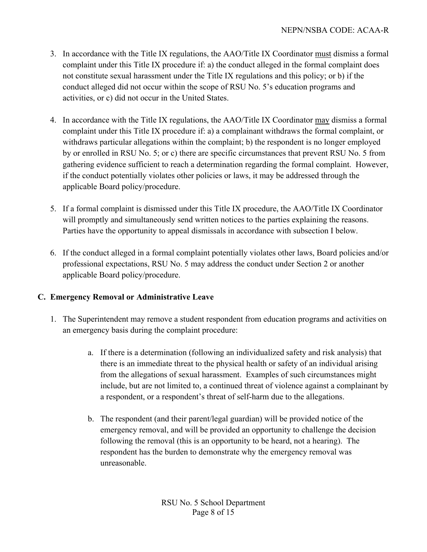- 3. In accordance with the Title IX regulations, the AAO/Title IX Coordinator must dismiss a formal complaint under this Title IX procedure if: a) the conduct alleged in the formal complaint does not constitute sexual harassment under the Title IX regulations and this policy; or b) if the conduct alleged did not occur within the scope of RSU No. 5's education programs and activities, or c) did not occur in the United States.
- 4. In accordance with the Title IX regulations, the AAO/Title IX Coordinator may dismiss a formal complaint under this Title IX procedure if: a) a complainant withdraws the formal complaint, or withdraws particular allegations within the complaint; b) the respondent is no longer employed by or enrolled in RSU No. 5; or c) there are specific circumstances that prevent RSU No. 5 from gathering evidence sufficient to reach a determination regarding the formal complaint. However, if the conduct potentially violates other policies or laws, it may be addressed through the applicable Board policy/procedure.
- 5. If a formal complaint is dismissed under this Title IX procedure, the AAO/Title IX Coordinator will promptly and simultaneously send written notices to the parties explaining the reasons. Parties have the opportunity to appeal dismissals in accordance with subsection I below.
- 6. If the conduct alleged in a formal complaint potentially violates other laws, Board policies and/or professional expectations, RSU No. 5 may address the conduct under Section 2 or another applicable Board policy/procedure.

# **C. Emergency Removal or Administrative Leave**

- 1. The Superintendent may remove a student respondent from education programs and activities on an emergency basis during the complaint procedure:
	- a. If there is a determination (following an individualized safety and risk analysis) that there is an immediate threat to the physical health or safety of an individual arising from the allegations of sexual harassment. Examples of such circumstances might include, but are not limited to, a continued threat of violence against a complainant by a respondent, or a respondent's threat of self-harm due to the allegations.
	- b. The respondent (and their parent/legal guardian) will be provided notice of the emergency removal, and will be provided an opportunity to challenge the decision following the removal (this is an opportunity to be heard, not a hearing). The respondent has the burden to demonstrate why the emergency removal was unreasonable.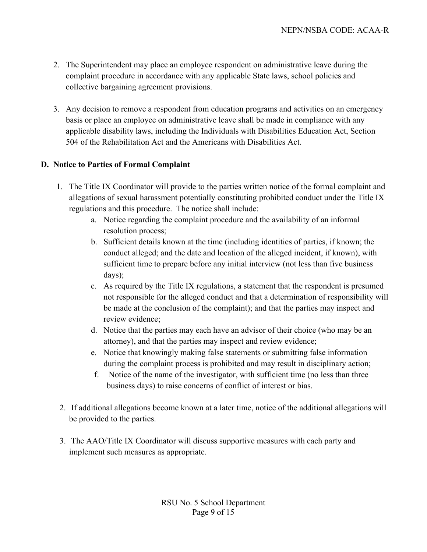- 2. The Superintendent may place an employee respondent on administrative leave during the complaint procedure in accordance with any applicable State laws, school policies and collective bargaining agreement provisions.
- 3. Any decision to remove a respondent from education programs and activities on an emergency basis or place an employee on administrative leave shall be made in compliance with any applicable disability laws, including the Individuals with Disabilities Education Act, Section 504 of the Rehabilitation Act and the Americans with Disabilities Act.

#### **D. Notice to Parties of Formal Complaint**

- 1. The Title IX Coordinator will provide to the parties written notice of the formal complaint and allegations of sexual harassment potentially constituting prohibited conduct under the Title IX regulations and this procedure. The notice shall include:
	- a. Notice regarding the complaint procedure and the availability of an informal resolution process;
	- b. Sufficient details known at the time (including identities of parties, if known; the conduct alleged; and the date and location of the alleged incident, if known), with sufficient time to prepare before any initial interview (not less than five business days);
	- c. As required by the Title IX regulations, a statement that the respondent is presumed not responsible for the alleged conduct and that a determination of responsibility will be made at the conclusion of the complaint); and that the parties may inspect and review evidence;
	- d. Notice that the parties may each have an advisor of their choice (who may be an attorney), and that the parties may inspect and review evidence;
	- e. Notice that knowingly making false statements or submitting false information during the complaint process is prohibited and may result in disciplinary action;
	- f. Notice of the name of the investigator, with sufficient time (no less than three business days) to raise concerns of conflict of interest or bias.
- 2. If additional allegations become known at a later time, notice of the additional allegations will be provided to the parties.
- 3. The AAO/Title IX Coordinator will discuss supportive measures with each party and implement such measures as appropriate.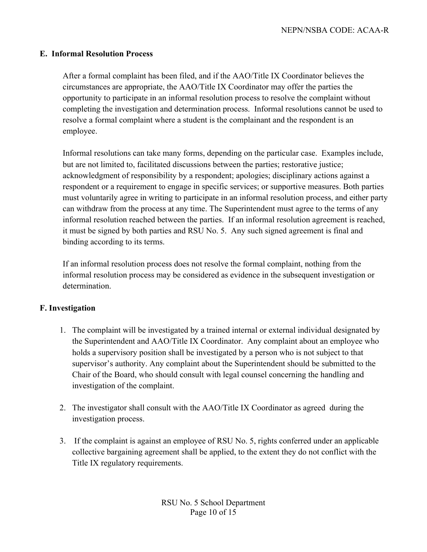#### **E. Informal Resolution Process**

After a formal complaint has been filed, and if the AAO/Title IX Coordinator believes the circumstances are appropriate, the AAO/Title IX Coordinator may offer the parties the opportunity to participate in an informal resolution process to resolve the complaint without completing the investigation and determination process. Informal resolutions cannot be used to resolve a formal complaint where a student is the complainant and the respondent is an employee.

Informal resolutions can take many forms, depending on the particular case. Examples include, but are not limited to, facilitated discussions between the parties; restorative justice; acknowledgment of responsibility by a respondent; apologies; disciplinary actions against a respondent or a requirement to engage in specific services; or supportive measures. Both parties must voluntarily agree in writing to participate in an informal resolution process, and either party can withdraw from the process at any time. The Superintendent must agree to the terms of any informal resolution reached between the parties. If an informal resolution agreement is reached, it must be signed by both parties and RSU No. 5. Any such signed agreement is final and binding according to its terms.

If an informal resolution process does not resolve the formal complaint, nothing from the informal resolution process may be considered as evidence in the subsequent investigation or determination.

#### **F. Investigation**

- 1. The complaint will be investigated by a trained internal or external individual designated by the Superintendent and AAO/Title IX Coordinator. Any complaint about an employee who holds a supervisory position shall be investigated by a person who is not subject to that supervisor's authority. Any complaint about the Superintendent should be submitted to the Chair of the Board, who should consult with legal counsel concerning the handling and investigation of the complaint.
- 2. The investigator shall consult with the AAO/Title IX Coordinator as agreed during the investigation process.
- 3. If the complaint is against an employee of RSU No. 5, rights conferred under an applicable collective bargaining agreement shall be applied, to the extent they do not conflict with the Title IX regulatory requirements.

RSU No. 5 School Department Page 10 of 15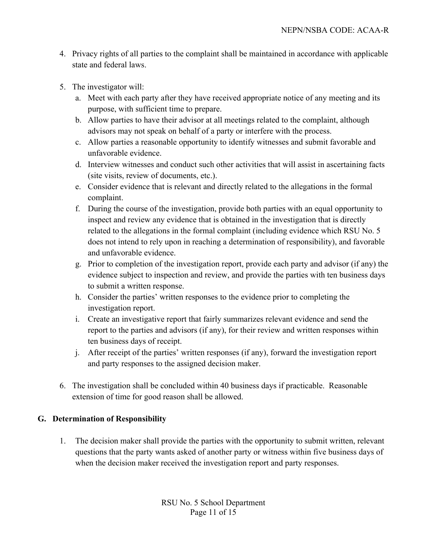- 4. Privacy rights of all parties to the complaint shall be maintained in accordance with applicable state and federal laws.
- 5. The investigator will:
	- a. Meet with each party after they have received appropriate notice of any meeting and its purpose, with sufficient time to prepare.
	- b. Allow parties to have their advisor at all meetings related to the complaint, although advisors may not speak on behalf of a party or interfere with the process.
	- c. Allow parties a reasonable opportunity to identify witnesses and submit favorable and unfavorable evidence.
	- d. Interview witnesses and conduct such other activities that will assist in ascertaining facts (site visits, review of documents, etc.).
	- e. Consider evidence that is relevant and directly related to the allegations in the formal complaint.
	- f. During the course of the investigation, provide both parties with an equal opportunity to inspect and review any evidence that is obtained in the investigation that is directly related to the allegations in the formal complaint (including evidence which RSU No. 5 does not intend to rely upon in reaching a determination of responsibility), and favorable and unfavorable evidence.
	- g. Prior to completion of the investigation report, provide each party and advisor (if any) the evidence subject to inspection and review, and provide the parties with ten business days to submit a written response.
	- h. Consider the parties' written responses to the evidence prior to completing the investigation report.
	- i. Create an investigative report that fairly summarizes relevant evidence and send the report to the parties and advisors (if any), for their review and written responses within ten business days of receipt.
	- j. After receipt of the parties' written responses (if any), forward the investigation report and party responses to the assigned decision maker.
- 6. The investigation shall be concluded within 40 business days if practicable. Reasonable extension of time for good reason shall be allowed.

#### **G. Determination of Responsibility**

1. The decision maker shall provide the parties with the opportunity to submit written, relevant questions that the party wants asked of another party or witness within five business days of when the decision maker received the investigation report and party responses.

> RSU No. 5 School Department Page 11 of 15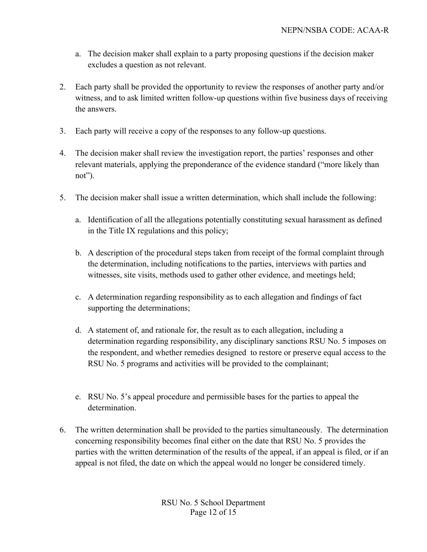- a. The decision maker shall explain to a party proposing questions if the decision maker excludes a question as not relevant.
- 2. Each party shall be provided the opportunity to review the responses of another party and/or witness, and to ask limited written follow-up questions within five business days of receiving the answers.
- 3. Each party will receive a copy of the responses to any follow-up questions.
- 4. The decision maker shall review the investigation report, the parties' responses and other relevant materials, applying the preponderance of the evidence standard ("more likely than not").
- 5. The decision maker shall issue a written determination, which shall include the following:
	- a. Identification of all the allegations potentially constituting sexual harassment as defined in the Title IX regulations and this policy;
	- b. A description of the procedural steps taken from receipt of the formal complaint through the determination, including notifications to the parties, interviews with parties and witnesses, site visits, methods used to gather other evidence, and meetings held;
	- c. A determination regarding responsibility as to each allegation and findings of fact supporting the determinations;
	- d. A statement of, and rationale for, the result as to each allegation, including a determination regarding responsibility, any disciplinary sanctions RSU No. 5 imposes on the respondent, and whether remedies designed to restore or preserve equal access to the RSU No. 5 programs and activities will be provided to the complainant;
	- e. RSU No. 5's appeal procedure and permissible bases for the parties to appeal the determination.
- 6. The written determination shall be provided to the parties simultaneously. The determination concerning responsibility becomes final either on the date that RSU No. 5 provides the parties with the written determination of the results of the appeal, if an appeal is filed, or if an appeal is not filed, the date on which the appeal would no longer be considered timely.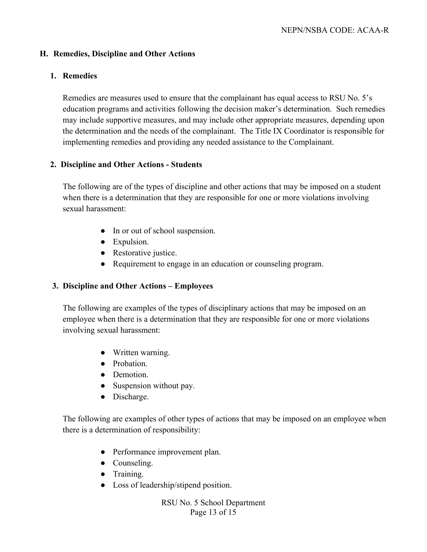### **H. Remedies, Discipline and Other Actions**

#### **1. Remedies**

Remedies are measures used to ensure that the complainant has equal access to RSU No. 5's education programs and activities following the decision maker's determination. Such remedies may include supportive measures, and may include other appropriate measures, depending upon the determination and the needs of the complainant. The Title IX Coordinator is responsible for implementing remedies and providing any needed assistance to the Complainant.

## **2. Discipline and Other Actions - Students**

The following are of the types of discipline and other actions that may be imposed on a student when there is a determination that they are responsible for one or more violations involving sexual harassment:

- In or out of school suspension.
- Expulsion.
- Restorative justice.
- Requirement to engage in an education or counseling program.

#### **3. Discipline and Other Actions – Employees**

The following are examples of the types of disciplinary actions that may be imposed on an employee when there is a determination that they are responsible for one or more violations involving sexual harassment:

- Written warning.
- Probation.
- Demotion.
- Suspension without pay.
- Discharge.

The following are examples of other types of actions that may be imposed on an employee when there is a determination of responsibility:

- Performance improvement plan.
- Counseling.
- Training.
- Loss of leadership/stipend position.

RSU No. 5 School Department Page 13 of 15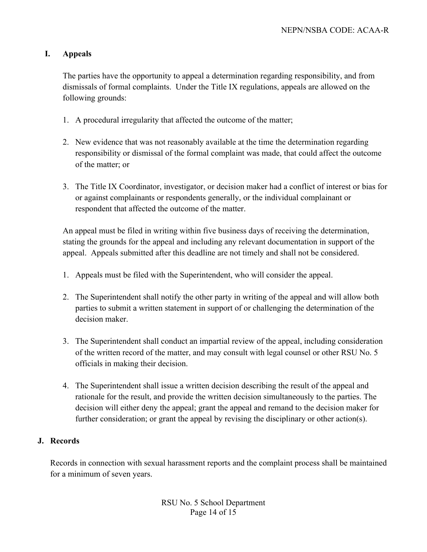#### **I. Appeals**

The parties have the opportunity to appeal a determination regarding responsibility, and from dismissals of formal complaints. Under the Title IX regulations, appeals are allowed on the following grounds:

- 1. A procedural irregularity that affected the outcome of the matter;
- 2. New evidence that was not reasonably available at the time the determination regarding responsibility or dismissal of the formal complaint was made, that could affect the outcome of the matter; or
- 3. The Title IX Coordinator, investigator, or decision maker had a conflict of interest or bias for or against complainants or respondents generally, or the individual complainant or respondent that affected the outcome of the matter.

An appeal must be filed in writing within five business days of receiving the determination, stating the grounds for the appeal and including any relevant documentation in support of the appeal. Appeals submitted after this deadline are not timely and shall not be considered.

- 1. Appeals must be filed with the Superintendent, who will consider the appeal.
- 2. The Superintendent shall notify the other party in writing of the appeal and will allow both parties to submit a written statement in support of or challenging the determination of the decision maker.
- 3. The Superintendent shall conduct an impartial review of the appeal, including consideration of the written record of the matter, and may consult with legal counsel or other RSU No. 5 officials in making their decision.
- 4. The Superintendent shall issue a written decision describing the result of the appeal and rationale for the result, and provide the written decision simultaneously to the parties. The decision will either deny the appeal; grant the appeal and remand to the decision maker for further consideration; or grant the appeal by revising the disciplinary or other action(s).

#### **J. Records**

Records in connection with sexual harassment reports and the complaint process shall be maintained for a minimum of seven years.

> RSU No. 5 School Department Page 14 of 15